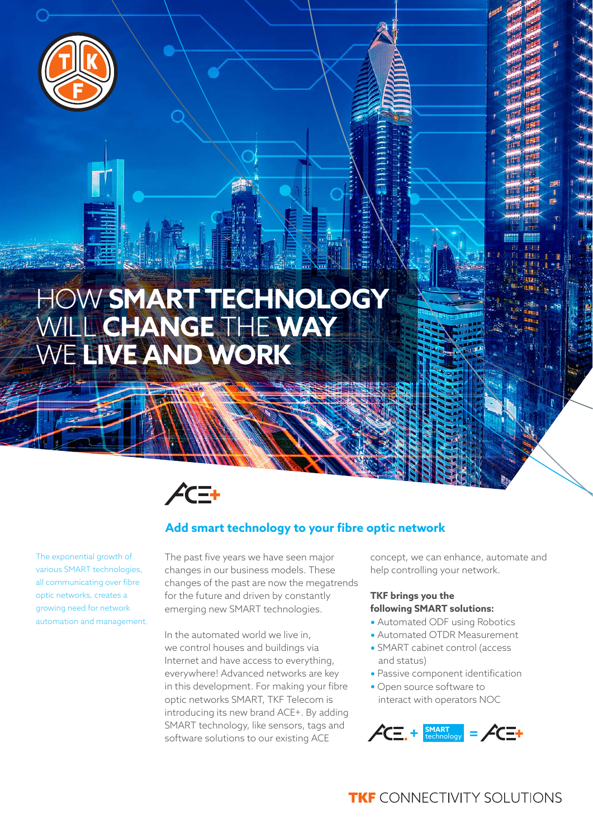

# HOW **SMART TECHNOLOGY** WILL **CHANGE** THE **WAY** WE **LIVE AND WORK**



The exponential growth of various SMART technologies, all communicating over fibre optic networks, creates a growing need for network automation and management.

### **Add smart technology to your fibre optic network**

The past five years we have seen major changes in our business models. These changes of the past are now the megatrends for the future and driven by constantly emerging new SMART technologies.

In the automated world we live in, we control houses and buildings via Internet and have access to everything, everywhere! Advanced networks are key in this development. For making your fibre optic networks SMART, TKF Telecom is introducing its new brand ACE+. By adding SMART technology, like sensors, tags and software solutions to our existing ACE

concept, we can enhance, automate and help controlling your network.

#### **TKF brings you the following SMART solutions:**

- **•** Automated ODF using Robotics
- **•** Automated OTDR Measurement
- **•** SMART cabinet control (access and status)
- **•** Passive component identification
- **•** Open source software to interact with operators NOC